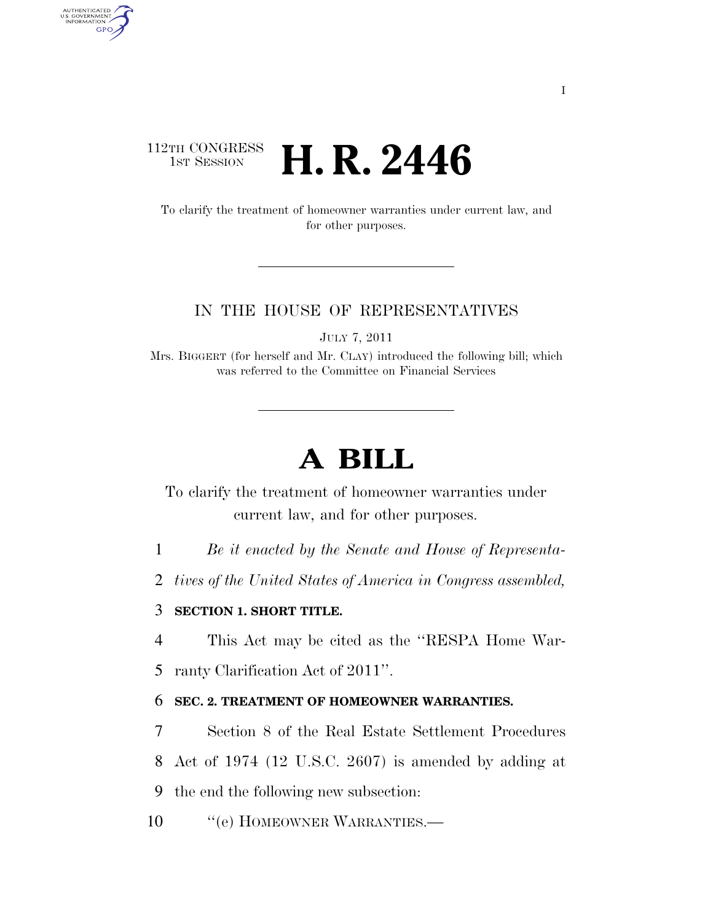## 112TH CONGRESS **HE CONGRESS H. R. 2446**

AUTHENTICATED<br>U.S. GOVERNMENT<br>INFORMATION **GPO** 

> To clarify the treatment of homeowner warranties under current law, and for other purposes.

#### IN THE HOUSE OF REPRESENTATIVES

JULY 7, 2011

Mrs. BIGGERT (for herself and Mr. CLAY) introduced the following bill; which was referred to the Committee on Financial Services

# **A BILL**

To clarify the treatment of homeowner warranties under current law, and for other purposes.

- 1 *Be it enacted by the Senate and House of Representa-*
- 2 *tives of the United States of America in Congress assembled,*

### 3 **SECTION 1. SHORT TITLE.**

4 This Act may be cited as the ''RESPA Home War-

5 ranty Clarification Act of 2011''.

### 6 **SEC. 2. TREATMENT OF HOMEOWNER WARRANTIES.**

7 Section 8 of the Real Estate Settlement Procedures

8 Act of 1974 (12 U.S.C. 2607) is amended by adding at

9 the end the following new subsection:

10 "'(e) HOMEOWNER WARRANTIES.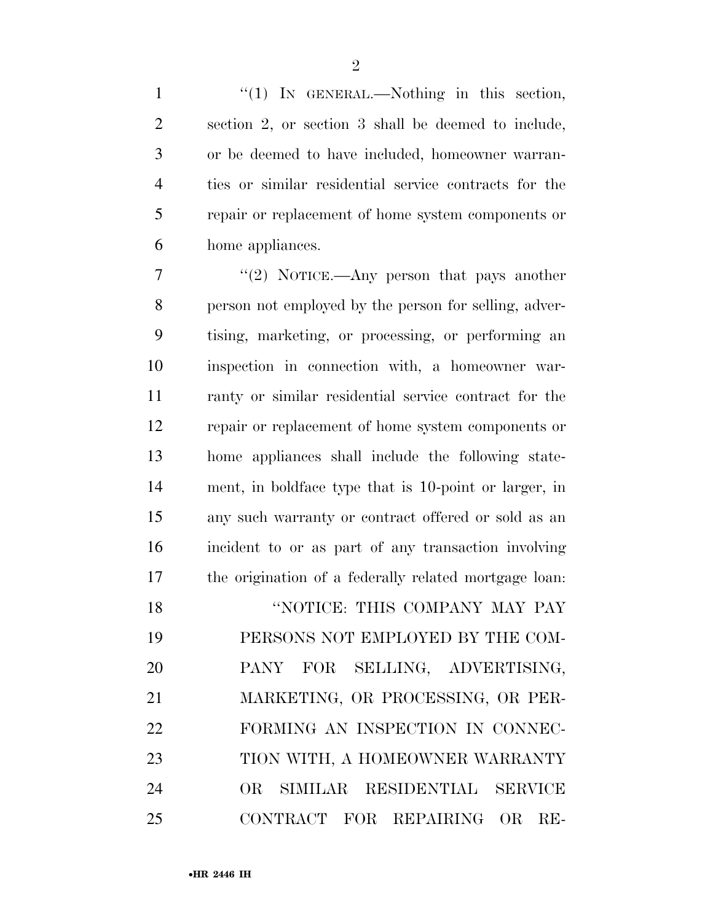$\mathfrak{D}$ 

1 "(1) IN GENERAL.—Nothing in this section, section 2, or section 3 shall be deemed to include, or be deemed to have included, homeowner warran- ties or similar residential service contracts for the repair or replacement of home system components or home appliances.

7 ''(2) NOTICE.—Any person that pays another person not employed by the person for selling, adver- tising, marketing, or processing, or performing an inspection in connection with, a homeowner war- ranty or similar residential service contract for the repair or replacement of home system components or home appliances shall include the following state- ment, in boldface type that is 10-point or larger, in any such warranty or contract offered or sold as an incident to or as part of any transaction involving the origination of a federally related mortgage loan: **"NOTICE: THIS COMPANY MAY PAY"**  PERSONS NOT EMPLOYED BY THE COM- PANY FOR SELLING, ADVERTISING, MARKETING, OR PROCESSING, OR PER-

 FORMING AN INSPECTION IN CONNEC- TION WITH, A HOMEOWNER WARRANTY OR SIMILAR RESIDENTIAL SERVICE CONTRACT FOR REPAIRING OR RE-